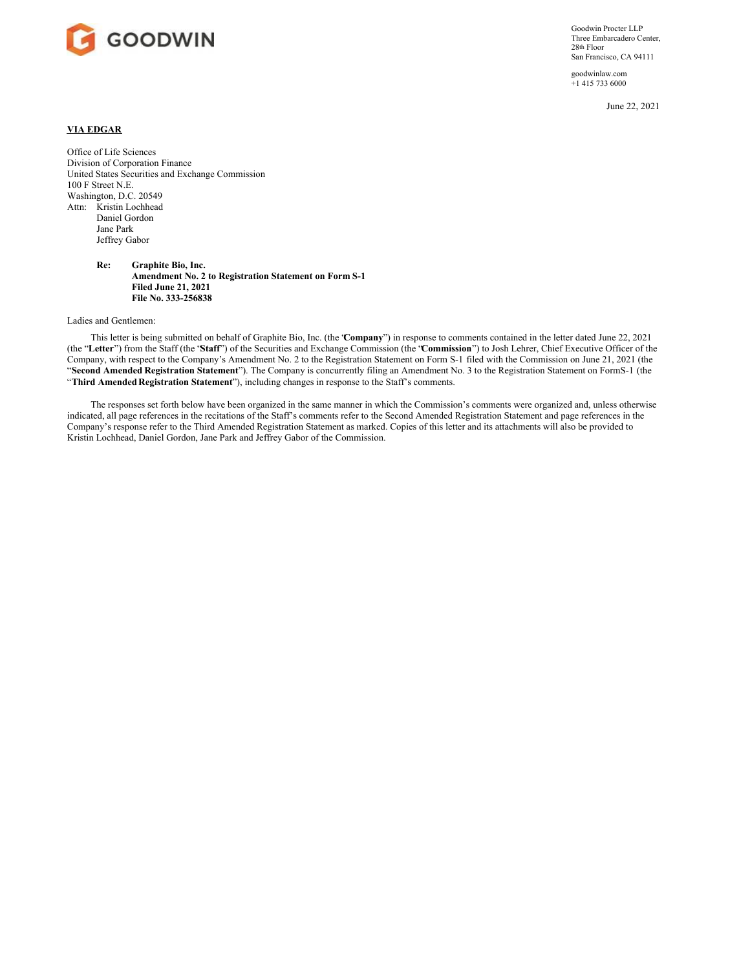

Goodwin Procter LLP Three Embarcadero Center, 28th Floor San Francisco, CA 94111

goodwinlaw.com +1 415 733 6000

June 22, 2021

## **VIA EDGAR**

Office of Life Sciences Division of Corporation Finance United States Securities and Exchange Commission 100 F Street N.E. Washington, D.C. 20549 Attn: Kristin Lochhead Daniel Gordon Jane Park Jeffrey Gabor

> **Re: Graphite Bio, Inc. Amendment No. 2 to Registration Statement on Form S-1 Filed June 21, 2021 File No. 333-256838**

Ladies and Gentlemen:

This letter is being submitted on behalf of Graphite Bio, Inc. (the "**Company**") in response to comments contained in the letter dated June 22, 2021 (the "**Letter**") from the Staff (the "**Staff**") of the Securities and Exchange Commission (the "**Commission**") to Josh Lehrer, Chief Executive Officer of the Company, with respect to the Company's Amendment No. 2 to the Registration Statement on Form S-1 filed with the Commission on June 21, 2021 (the "**Second Amended Registration Statement**"). The Company is concurrently filing an Amendment No. 3 to the Registration Statement on FormS-1 (the "**Third Amended Registration Statement**"), including changes in response to the Staff's comments.

The responses set forth below have been organized in the same manner in which the Commission's comments were organized and, unless otherwise indicated, all page references in the recitations of the Staff's comments refer to the Second Amended Registration Statement and page references in the Company's response refer to the Third Amended Registration Statement as marked. Copies of this letter and its attachments will also be provided to Kristin Lochhead, Daniel Gordon, Jane Park and Jeffrey Gabor of the Commission.